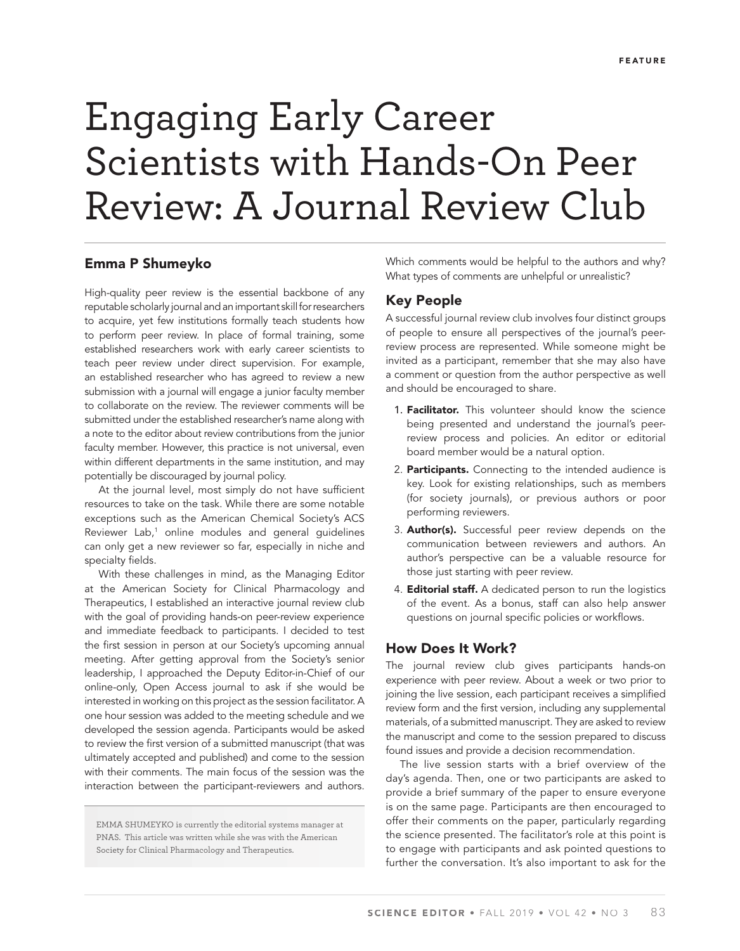# Engaging Early Career Scientists with Hands-On Peer Review: A Journal Review Club

## **Emma P Shumeyko**

High-quality peer review is the essential backbone of any reputable scholarly journal and an important skill for researchers to acquire, yet few institutions formally teach students how to perform peer review. In place of formal training, some established researchers work with early career scientists to teach peer review under direct supervision. For example, an established researcher who has agreed to review a new submission with a journal will engage a junior faculty member to collaborate on the review. The reviewer comments will be submitted under the established researcher's name along with a note to the editor about review contributions from the junior faculty member. However, this practice is not universal, even within different departments in the same institution, and may potentially be discouraged by journal policy.

At the journal level, most simply do not have sufficient resources to take on the task. While there are some notable exceptions such as the American Chemical Society's ACS Reviewer Lab,<sup>1</sup> online modules and general guidelines can only get a new reviewer so far, especially in niche and specialty fields.

With these challenges in mind, as the Managing Editor at the American Society for Clinical Pharmacology and Therapeutics, I established an interactive journal review club with the goal of providing hands-on peer-review experience and immediate feedback to participants. I decided to test the first session in person at our Society's upcoming annual meeting. After getting approval from the Society's senior leadership, I approached the Deputy Editor-in-Chief of our online-only, Open Access journal to ask if she would be interested in working on this project as the session facilitator. A one hour session was added to the meeting schedule and we developed the session agenda. Participants would be asked to review the first version of a submitted manuscript (that was ultimately accepted and published) and come to the session with their comments. The main focus of the session was the interaction between the participant-reviewers and authors.

EMMA SHUMEYKO is currently the editorial systems manager at PNAS. This article was written while she was with the American Society for Clinical Pharmacology and Therapeutics.

Which comments would be helpful to the authors and why? What types of comments are unhelpful or unrealistic?

## **Key People**

A successful journal review club involves four distinct groups of people to ensure all perspectives of the journal's peerreview process are represented. While someone might be invited as a participant, remember that she may also have a comment or question from the author perspective as well and should be encouraged to share.

- 1. **Facilitator.** This volunteer should know the science being presented and understand the journal's peerreview process and policies. An editor or editorial board member would be a natural option.
- 2. **Participants.** Connecting to the intended audience is key. Look for existing relationships, such as members (for society journals), or previous authors or poor performing reviewers.
- 3. **Author(s).** Successful peer review depends on the communication between reviewers and authors. An author's perspective can be a valuable resource for those just starting with peer review.
- 4. **Editorial staff.** A dedicated person to run the logistics of the event. As a bonus, staff can also help answer questions on journal specific policies or workflows.

## **How Does It Work?**

The journal review club gives participants hands-on experience with peer review. About a week or two prior to joining the live session, each participant receives a simplified review form and the first version, including any supplemental materials, of a submitted manuscript. They are asked to review the manuscript and come to the session prepared to discuss found issues and provide a decision recommendation.

The live session starts with a brief overview of the day's agenda. Then, one or two participants are asked to provide a brief summary of the paper to ensure everyone is on the same page. Participants are then encouraged to offer their comments on the paper, particularly regarding the science presented. The facilitator's role at this point is to engage with participants and ask pointed questions to further the conversation. It's also important to ask for the